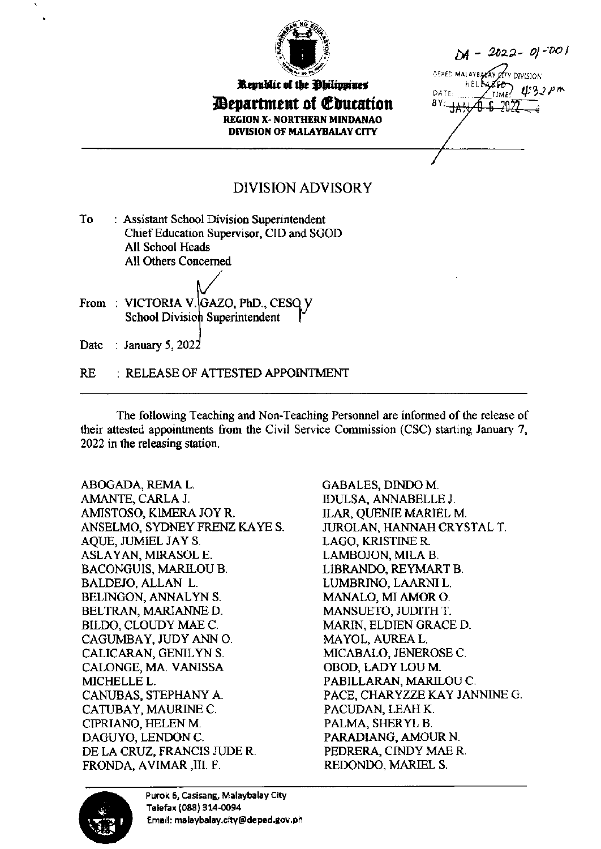

Republic of the Ohilippines *Department of Education* **REGION X- NORTHERN MINDANAO** DIVISION OF MALAYBALAY CITY

 $M - 2022 - 01 - 001$ **CEPED MALAYBAZAY Y** DIVISION DATE BY:

## **DIVISION ADVISORY**

- To : Assistant School Division Superintendent Chief Education Supervisor, CID and SGOD All School Heads All Others Concerned
- From: VICTORIA V. GAZO, PhD., CESO V School Division Superintendent

Date : January 5, 2022

**RE** : RELEASE OF ATTESTED APPOINTMENT

The following Teaching and Non-Teaching Personnel are informed of the release of their attested appointments from the Civil Service Commission (CSC) starting January 7, 2022 in the releasing station.

ABOGADA, REMA L. AMANTE, CARLA J. AMISTOSO, KIMERA JOY R. ANSELMO, SYDNEY FRENZ KAYE S. AOUE, JUMIEL JAY S. ASLAYAN, MIRASOL E. **BACONGUIS, MARILOU B. BALDEJO, ALLAN L.** BELINGON, ANNALYN S. BELTRAN, MARIANNE D. BILDO, CLOUDY MAE C. CAGUMBAY, JUDY ANN O. CALICARAN, GENILYN S. CALONGE, MA. VANISSA MICHELLE L. CANUBAS, STEPHANY A. CATUBAY, MAURINE C. CIPRIANO, HELEN M. DAGUYO, LENDON C. DE LA CRUZ, FRANCIS JUDE R. FRONDA, AVIMAR, III. F.

**GABALES, DINDO M. IDULSA, ANNABELLE J. ILAR, QUENIE MARIEL M.** JUROLAN, HANNAH CRYSTAL T. LAGO, KRISTINE R. LAMBOJON, MILA B. LIBRANDO, REYMART B. LUMBRINO, LAARNI L. MANALO. MI AMOR O. MANSUETO, JUDITH T. **MARIN, ELDIEN GRACE D.** MAYOL, AUREA L. MICABALO, JENEROSE C. OBOD, LADY LOU M. PABILLARAN, MARILOU C. PACE, CHARYZZE KAY JANNINE G. PACUDAN, LEAH K. PALMA, SHERYL B. PARADIANG, AMOUR N. PEDRERA, CINDY MAE R. REDONDO, MARIEL S.



Purok 6, Casisang, Malaybalay City Telefax (088) 314-0094 Email: malaybalay.city@deped.gov.ph